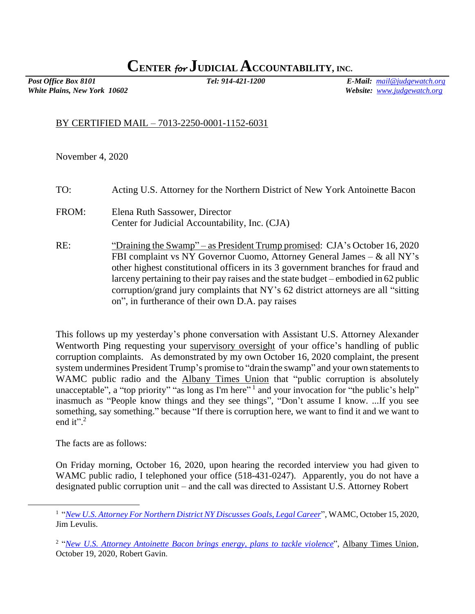## **CENTER** *for* **JUDICIAL ACCOUNTABILITY, INC.**

*White Plains, New York 10602 Website: [www.judgewatch.org](http://www.judgewatch.org/)*

*Post Office Box 8101 Tel: 914-421-1200 E-Mail: [mail@judgewatch.org](mailto:mail@judgewatch.org)*

## BY CERTIFIED MAIL – 7013-2250-0001-1152-6031

November 4, 2020

| TO: | Acting U.S. Attorney for the Northern District of New York Antoinette Bacon |  |  |
|-----|-----------------------------------------------------------------------------|--|--|
|-----|-----------------------------------------------------------------------------|--|--|

FROM: Elena Ruth Sassower, Director Center for Judicial Accountability, Inc. (CJA)

RE: "Draining the Swamp" – as President Trump promised: CJA's October 16, 2020 FBI complaint vs NY Governor Cuomo, Attorney General James – & all NY's other highest constitutional officers in its 3 government branches for fraud and larceny pertaining to their pay raises and the state budget – embodied in 62 public corruption/grand jury complaints that NY's 62 district attorneys are all "sitting on", in furtherance of their own D.A. pay raises

This follows up my yesterday's phone conversation with Assistant U.S. Attorney Alexander Wentworth Ping requesting your supervisory oversight of your office's handling of public corruption complaints. As demonstrated by my own October 16, 2020 complaint, the present system undermines President Trump's promise to "drain the swamp" and your own statements to WAMC public radio and the Albany Times Union that "public corruption is absolutely unacceptable", a "top priority" "as long as I'm here"<sup>1</sup> and your invocation for "the public's help" inasmuch as "People know things and they see things", "Don't assume I know. ...If you see something, say something." because "If there is corruption here, we want to find it and we want to end it". $2$ 

The facts are as follows:

On Friday morning, October 16, 2020, upon hearing the recorded interview you had given to WAMC public radio, I telephoned your office (518-431-0247). Apparently, you do not have a designated public corruption unit – and the call was directed to Assistant U.S. Attorney Robert

<sup>1</sup> "*New U.S. [Attorney For Northern District NY Discusses](https://www.wamc.org/post/new-us-attorney-northern-ny-discusses-goals-legal-career) Goals, Legal Career*", WAMC, October 15, 2020, Jim Levulis.

<sup>2</sup> "*[New U.S. Attorney Antoinette Bacon brings energy, plans to tackle violence](https://www.timesunion.com/news/article/New-federal-prosecutor-brings-energy-plans-to-15654122.php?utm_source=newsletter&utm_medium=email&utm_content=headlines&utm_campaign=tu_dailyheadlines&sid=593183ac24c17c09a3f0b932)*", Albany Times Union, October 19, 2020, Robert Gavin.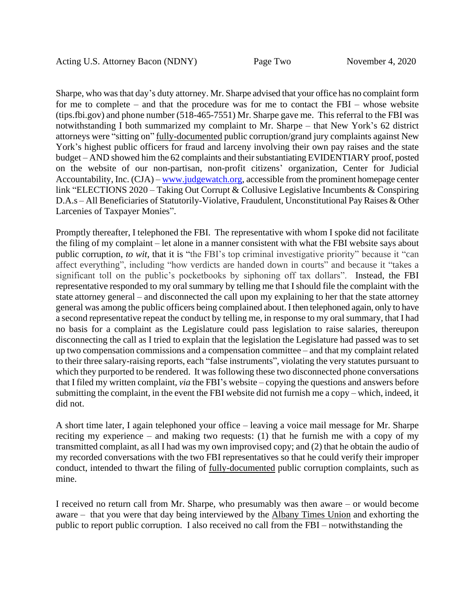Sharpe, who was that day's duty attorney. Mr. Sharpe advised that your office has no complaint form for me to complete – and that the procedure was for me to contact the FBI – whose website (tips.fbi.gov) and phone number (518-465-7551) Mr. Sharpe gave me. This referral to the FBI was notwithstanding I both summarized my complaint to Mr. Sharpe – that New York's 62 district attorneys were "sitting on" fully-documented public corruption/grand jury complaints against New York's highest public officers for fraud and larceny involving their own pay raises and the state budget – AND showed him the 62 complaints and their substantiating EVIDENTIARY proof, posted on the website of our non-partisan, non-profit citizens' organization, Center for Judicial Accountability, Inc. (CJA) – [www.judgewatch.org,](http://www.judgewatch.org/) accessible from the prominent homepage center link "ELECTIONS 2020 – Taking Out Corrupt & Collusive Legislative Incumbents & Conspiring D.A.s – All Beneficiaries of Statutorily-Violative, Fraudulent, Unconstitutional Pay Raises & Other Larcenies of Taxpayer Monies".

Promptly thereafter, I telephoned the FBI. The representative with whom I spoke did not facilitate the filing of my complaint – let alone in a manner consistent with what the FBI website says about public corruption, *to wit*, that it is "the FBI's top criminal investigative priority" because it "can affect everything", including "how verdicts are handed down in courts" and because it "takes a significant toll on the public's pocketbooks by siphoning off tax dollars". Instead, the FBI representative responded to my oral summary by telling me that I should file the complaint with the state attorney general – and disconnected the call upon my explaining to her that the state attorney general was among the public officers being complained about. I then telephoned again, only to have a second representative repeat the conduct by telling me, in response to my oral summary, that I had no basis for a complaint as the Legislature could pass legislation to raise salaries, thereupon disconnecting the call as I tried to explain that the legislation the Legislature had passed was to set up two compensation commissions and a compensation committee – and that my complaint related to their three salary-raising reports, each "false instruments", violating the very statutes pursuant to which they purported to be rendered. It was following these two disconnected phone conversations that I filed my written complaint, *via* the FBI's website – copying the questions and answers before submitting the complaint, in the event the FBI website did not furnish me a copy – which, indeed, it did not.

A short time later, I again telephoned your office – leaving a voice mail message for Mr. Sharpe reciting my experience – and making two requests: (1) that he furnish me with a copy of my transmitted complaint, as all I had was my own improvised copy; and (2) that he obtain the audio of my recorded conversations with the two FBI representatives so that he could verify their improper conduct, intended to thwart the filing of fully-documented public corruption complaints, such as mine.

I received no return call from Mr. Sharpe, who presumably was then aware – or would become aware – that you were that day being interviewed by the Albany Times Union and exhorting the public to report public corruption. I also received no call from the FBI – notwithstanding the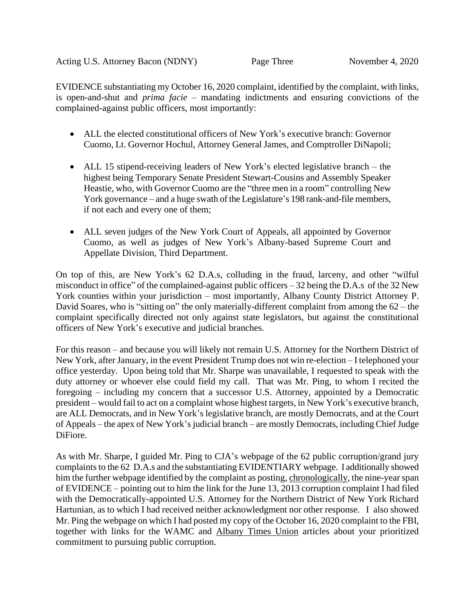EVIDENCE substantiating my October 16, 2020 complaint, identified by the complaint, with links, is open-and-shut and *prima facie* – mandating indictments and ensuring convictions of the complained-against public officers, most importantly:

- ALL the elected constitutional officers of New York's executive branch: Governor Cuomo, Lt. Governor Hochul, Attorney General James, and Comptroller DiNapoli;
- ALL 15 stipend-receiving leaders of New York's elected legislative branch the highest being Temporary Senate President Stewart-Cousins and Assembly Speaker Heastie, who, with Governor Cuomo are the "three men in a room" controlling New York governance – and a huge swath of the Legislature's 198 rank-and-file members, if not each and every one of them;
- ALL seven judges of the New York Court of Appeals, all appointed by Governor Cuomo, as well as judges of New York's Albany-based Supreme Court and Appellate Division, Third Department.

On top of this, are New York's 62 D.A.s, colluding in the fraud, larceny, and other "wilful misconduct in office" of the complained-against public officers – 32 being the D.A.s of the 32 New York counties within your jurisdiction – most importantly, Albany County District Attorney P. David Soares, who is "sitting on" the only materially-different complaint from among the 62 – the complaint specifically directed not only against state legislators, but against the constitutional officers of New York's executive and judicial branches.

For this reason – and because you will likely not remain U.S. Attorney for the Northern District of New York, after January, in the event President Trump does not win re-election – I telephoned your office yesterday. Upon being told that Mr. Sharpe was unavailable, I requested to speak with the duty attorney or whoever else could field my call. That was Mr. Ping, to whom I recited the foregoing – including my concern that a successor U.S. Attorney, appointed by a Democratic president – would fail to act on a complaint whose highest targets, in New York's executive branch, are ALL Democrats, and in New York's legislative branch, are mostly Democrats, and at the Court of Appeals – the apex of New York's judicial branch – are mostly Democrats, including Chief Judge DiFiore.

As with Mr. Sharpe, I guided Mr. Ping to CJA's webpage of the 62 public corruption/grand jury complaints to the 62 D.A.s and the substantiating EVIDENTIARY webpage. I additionally showed him the further webpage identified by the complaint as posting, chronologically, the nine-year span of EVIDENCE – pointing out to him the link for the June 13, 2013 corruption complaint I had filed with the Democratically-appointed U.S. Attorney for the Northern District of New York Richard Hartunian, as to which I had received neither acknowledgment nor other response. I also showed Mr. Ping the webpage on which I had posted my copy of the October 16, 2020 complaint to the FBI, together with links for the WAMC and Albany Times Union articles about your prioritized commitment to pursuing public corruption.